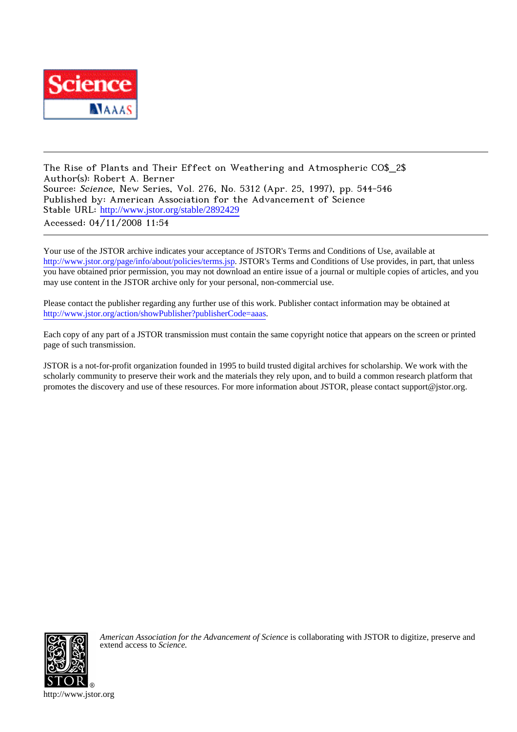

The Rise of Plants and Their Effect on Weathering and Atmospheric CO\$\_2\$ Author(s): Robert A. Berner Source: Science, New Series, Vol. 276, No. 5312 (Apr. 25, 1997), pp. 544-546 Published by: American Association for the Advancement of Science Stable URL: [http://www.jstor.org/stable/2892429](http://www.jstor.org/stable/2892429?origin=JSTOR-pdf) Accessed: 04/11/2008 11:54

Your use of the JSTOR archive indicates your acceptance of JSTOR's Terms and Conditions of Use, available at <http://www.jstor.org/page/info/about/policies/terms.jsp>. JSTOR's Terms and Conditions of Use provides, in part, that unless you have obtained prior permission, you may not download an entire issue of a journal or multiple copies of articles, and you may use content in the JSTOR archive only for your personal, non-commercial use.

Please contact the publisher regarding any further use of this work. Publisher contact information may be obtained at <http://www.jstor.org/action/showPublisher?publisherCode=aaas>.

Each copy of any part of a JSTOR transmission must contain the same copyright notice that appears on the screen or printed page of such transmission.

JSTOR is a not-for-profit organization founded in 1995 to build trusted digital archives for scholarship. We work with the scholarly community to preserve their work and the materials they rely upon, and to build a common research platform that promotes the discovery and use of these resources. For more information about JSTOR, please contact support@jstor.org.



*American Association for the Advancement of Science* is collaborating with JSTOR to digitize, preserve and extend access to *Science.*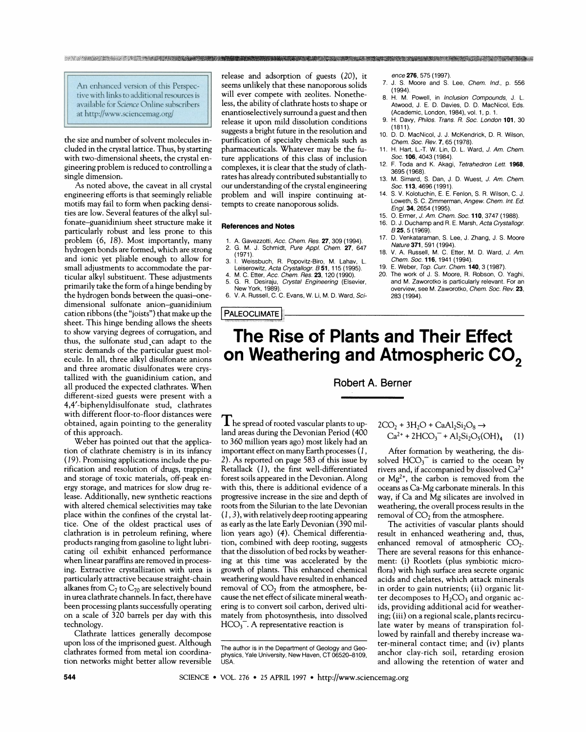An enhanced version of this Perspective with links to additional resources is available for Science Online subscribers at http://www.sciencemag.org/

and the state of the strategies and the state of the state of the state of the

the size and number of solvent molecules included in the crystal lattice. Thus, by starting with two-dimensional sheets, the crystal engineering problem is reduced to controlling a single dimension.

As noted above, the caveat in all crystal engineering efforts is that seemingly reliable motifs may fail to form when packing densities are low. Several features of the alkyl sulfonate-guanidinium sheet structure make it particularly robust and less prone to this problem (6, 18). Most importantly, many hydrogen bonds are formed, which are strong and ionic yet pliable enough to allow for small adjustments to accommodate the particular alkyl substituent. These adjustments primarily take the form of a hinge bending by the hydrogen bonds between the quasi-onedimensional sulfonate anion-guanidinium cation ribbons (the "joists") that make up the sheet. This hinge bending allows the sheets to show varying degrees of corrugation, and thus, the sulfonate stud can adapt to the steric demands of the particular guest molecule. In all, three alkyl disulfonate anions and three aromatic disulfonates were crystallized with the guanidinium cation, and all produced the expected clathrates. When different-sized guests were present with a 4,4'-biphenyldisulfonate stud, clathrates with different floor-to-floor distances were obtained, again pointing to the generality of this approach.

Weber has pointed out that the application of clathrate chemistry is in its infancy (19). Promising applications include the purification and resolution of drugs, trapping and storage of toxic materials, off-peak energy storage, and matrices for slow drug release. Additionally, new synthetic reactions with altered chemical selectivities may take place within the confines of the crystal lattice. One of the oldest practical uses of clathration is in petroleum refining, where products ranging from gasoline to light lubricating oil exhibit enhanced performance when linear paraffins are removed in processing. Extractive crystallization with urea is particularly attractive because straight-chain alkanes from  $C_7$  to  $C_{70}$  are selectively bound in urea clathrate channels. In fact, there have been processing plants successfully operating on a scale of 320 barrels per day with this technology.

Clathrate lattices generally decompose upon loss of the imprisoned guest. Although clathrates formed from metal ion coordination networks might better allow reversible

release and adsorption of guests (20), it seems unlikely that these nanoporous solids will ever compete with zeolites. Nonetheless, the ability of clathrate hosts to shape or enantioselectively surround a guest and then release it upon mild dissolution conditions suggests a bright future in the resolution and purification of specialty chemicals such as pharmaceuticals. Whatever may be the future applications of this class of inclusion complexes, it is clear that the study of clathrates has already contributed substantially to our understanding of the crystal engineering problem and will inspire continuing attempts to create nanoporous solids.

#### **References and Notes**

- 1. A. Gavezzotti, Acc. Chem. Res. 27, 309 (1994).<br>2. G. M. J. Schmidt, Pure Appl. Chem. 27, 647
- $(1971)$
- $3.$   $\dot{1}$ Weissbuch, R. Popovitz-Biro, M. Lahav, L. Leiserowitz, Acta Crystallogr. B 51, 115 (1995).<br>M. C. Etter, Acc. Chem. Res. 23, 120 (1990).
- G. R. Desiraju, Crystal Engineering (Elsevier, Jew York, 1989)
- 6. V. A. Russell, C. C. Evans, W. Li, M. D. Ward, Sci-

## **PALEOCLIMATE**

ence 276, 575 (1997)

- 7. J. S. Moore and S. Lee, Chem. Ind., p. 556  $(1994)$
- 8. H. M. Powell, in Inclusion Compounds, J. L. Atwood, J. E. D. Davies, D. D. MacNicol, Eds. (Academic, London, 1984), vol. 1, p. 1
- 9. H. Davy, Philos. Trans. R. Soc. London 101, 30  $(1811)$
- 10. D. D. MacNicol, J. J. McKendrick, D. R. Wilson, Chem. Soc. Rev. 7, 65 (1978).
- 11. H. Hart, L.-T. W. Lin, D. L. Ward, J. Am. Chem. Soc. 106, 4043 (1984)
- $12<sub>2</sub>$ F. Toda and K. Akagi, Tetrahedron Lett. 1968, 3695 (1968).
- 13. M. Simard, S. Dan, J. D. Wuest, J. Am. Chem. Soc. 113, 4696 (1991).
- S. V. Kolotuchin, E. E. Fenlon, S. R. Wilson, C. J. Loweth, S. C. Zimmerman, Angew. Chem. Int. Ed. Engl. 34, 2654 (1995).
- 15 O. Ermer, J. Am. Chem. Soc. 110, 3747 (1988).
- D. J. Duchamp and R. E. Marsh, Acta Crystallogr. 16. B 25, 5 (1969)
- $17.$ D. Venkataraman, S. Lee, J. Zhang, J. S. Moore Nature 371, 591 (1994).
- 18. V. A. Russell, M. C. Etter, M. D. Ward, J. Am. Chem. Soc. 116, 1941 (1994).
- E. Weber, Top. Curr. Chem. 140, 3 (1987). 19. 20 The work of J. S. Moore, R. Robson, O. Yaghi, and M. Zaworotko is particularly relevant. For an overview, see M. Zaworotko, Chem. Soc. Rev. 23,

# The Rise of Plants and Their Effect on Weathering and Atmospheric CO<sub>2</sub>

283 (1994)

## Robert A. Berner

 $\prod$  he spread of rooted vascular plants to upland areas during the Devonian Period (400 to 360 million years ago) most likely had an important effect on many Earth processes (1, 2). As reported on page 583 of this issue by Retallack (1), the first well-differentiated forest soils appeared in the Devonian. Along with this, there is additional evidence of a progressive increase in the size and depth of roots from the Silurian to the late Devonian  $(1, 3)$ , with relatively deep rooting appearing as early as the late Early Devonian (390 million years ago) (4). Chemical differentiation, combined with deep rooting, suggests that the dissolution of bed rocks by weathering at this time was accelerated by the growth of plants. This enhanced chemical weathering would have resulted in enhanced removal of  $CO<sub>2</sub>$  from the atmosphere, because the net effect of silicate mineral weathering is to convert soil carbon, derived ultimately from photosynthesis, into dissolved  $HCO<sub>3</sub>$ . A representative reaction is

 $2CO_2 + 3H_2O + CaAl_2Si_2O_8 \rightarrow$  $Ca^{2+} + 2HCO_3^- + Al_2Si_2O_5(OH)_4$  $(1)$ 

After formation by weathering, the dissolved  $HCO_3^-$  is carried to the ocean by rivers and, if accompanied by dissolved Ca<sup>2</sup> or  $Mg^{2+}$ , the carbon is removed from the oceans as Ca-Mg carbonate minerals. In this way, if Ca and Mg silicates are involved in weathering, the overall process results in the removal of  $CO<sub>2</sub>$  from the atmosphere.

The activities of vascular plants should result in enhanced weathering and, thus, enhanced removal of atmospheric  $CO<sub>2</sub>$ . There are several reasons for this enhancement: (i) Rootlets (plus symbiotic microflora) with high surface area secrete organic acids and chelates, which attack minerals in order to gain nutrients; (ii) organic litter decomposes to  $H_2CO_3$  and organic acids, providing additional acid for weathering; (iii) on a regional scale, plants recirculate water by means of transpiration followed by rainfall and thereby increase water-mineral contact time; and (iv) plants anchor clay-rich soil, retarding erosion and allowing the retention of water and

The author is in the Department of Geology and Geophysics, Yale University, New Haven, CT 06520-8109,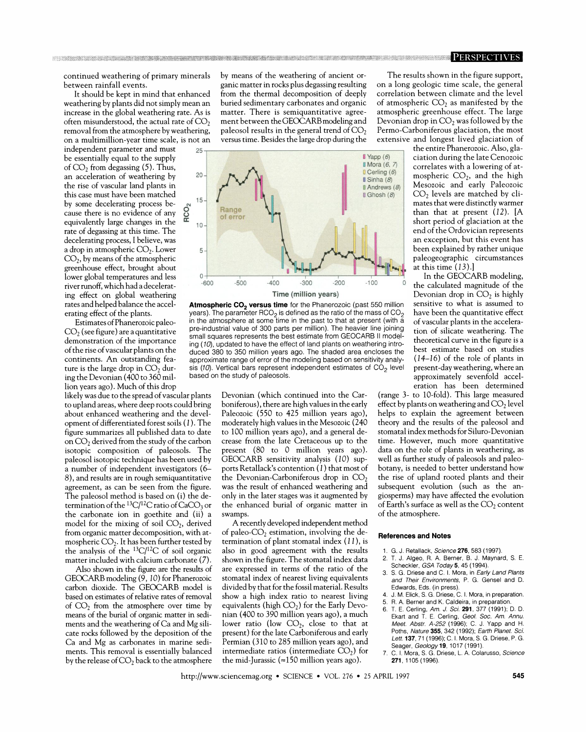continued weathering of primary minerals between rainfall events.

It should be kept in mind that enhanced weathering by plants did not simply mean an increase in the global weathering rate. As is often misunderstood, the actual rate of  $CO<sub>2</sub>$ removal from the atmosphere by weathering, on a multimillion-year time scale, is not an

independent parameter and must be essentially equal to the supply of  $CO<sub>2</sub>$  from degassing (5). Thus, an acceleration of weathering by the rise of vascular land plants in this case must have been matched by some decelerating process because there is no evidence of any equivalently large changes in the rate of degassing at this time. The decelerating process, I believe, was a drop in atmospheric  $CO<sub>2</sub>$ . Lower  $CO<sub>2</sub>$ , by means of the atmospheric greenhouse effect, brought about lower global temperatures and less river runoff, which had a decelerating effect on global weathering rates and helped balance the accelerating effect of the plants.

Estimates of Phanerozoic paleo- $CO<sub>2</sub>$  (see figure) are a quantitative demonstration of the importance of the rise of vascular plants on the continents. An outstanding feature is the large drop in  $CO<sub>2</sub>$  during the Devonian (400 to 360 million years ago). Much of this drop

likely was due to the spread of vascular plants to upland areas, where deep roots could bring about enhanced weathering and the development of differentiated forest soils (1). The figure summarizes all published data to date on  $CO<sub>2</sub>$  derived from the study of the carbon isotopic composition of paleosols. The paleosol isotopic technique has been used by a number of independent investigators (6– 8), and results are in rough semiquantitative agreement, as can be seen from the figure. The paleosol method is based on (i) the determination of the  ${}^{13}C/{}^{12}C$  ratio of CaCO<sub>3</sub> or the carbonate ion in goethite and (ii) a model for the mixing of soil  $CO<sub>2</sub>$ , derived from organic matter decomposition, with atmospheric  $CO_2$ . It has been further tested by the analysis of the  ${}^{13}C/{}^{12}C$  of soil organic matter included with calcium carbonate (7).

Also shown in the figure are the results of GEOCARB modeling (9, 10) for Phanerozoic carbon dioxide. The GEOCARB model is based on estimates of relative rates of removal of  $CO<sub>2</sub>$  from the atmosphere over time by means of the burial of organic matter in sediments and the weathering of Ca and Mg silicate rocks followed by the deposition of the Ca and Mg as carbonates in marine sediments. This removal is essentially balanced by the release of  $CO<sub>2</sub>$  back to the atmosphere by means of the weathering of ancient organic matter in rocks plus degassing resulting from the thermal decomposition of deeply buried sedimentary carbonates and organic matter. There is semiquantitative agreement between the GEOCARB modeling and paleosol results in the general trend of  $CO<sub>2</sub>$ versus time. Besides the large drop during the



Atmospheric CO<sub>2</sub> versus time for the Phanerozoic (past 550 million years). The parameter RCO<sub>2</sub> is defined as the ratio of the mass of CO<sub>2</sub> in the atmosphere at some time in the past to that at present (with a pre-industrial value of 300 parts per million). The heavier line joining small squares represents the best estimate from GEOCARB II modeling (10), updated to have the effect of land plants on weathering introduced 380 to 350 million years ago. The shaded area encloses the approximate range of error of the modeling based on sensitivity analysis (10). Vertical bars represent independent estimates of  $CO<sub>2</sub>$  level based on the study of paleosols.

Devonian (which continued into the Carboniferous), there are high values in the early Paleozoic (550 to 425 million years ago), moderately high values in the Mesozoic (240 to 100 million years ago), and a general decrease from the late Cretaceous up to the present (80 to 0 million years ago). GEOCARB sensitivity analysis (10) supports Retallack's contention (1) that most of the Devonian-Carboniferous drop in  $CO<sub>2</sub>$ was the result of enhanced weathering and only in the later stages was it augmented by the enhanced burial of organic matter in swamps.

A recently developed independent method of paleo- $CO<sub>2</sub>$  estimation, involving the determination of plant stomatal index  $(11)$ , is also in good agreement with the results shown in the figure. The stomatal index data are expressed in terms of the ratio of the stomatal index of nearest living equivalents divided by that for the fossil material. Results show a high index ratio to nearest living equivalents (high  $CO<sub>2</sub>$ ) for the Early Devonian (400 to 390 million years ago), a much lower ratio (low  $CO<sub>2</sub>$ , close to that at present) for the late Carboniferous and early Permian (310 to 285 million years ago), and intermediate ratios (intermediate  $CO<sub>2</sub>$ ) for the mid-Jurassic (=150 million years ago).

The results shown in the figure support, on a long geologic time scale, the general correlation between climate and the level of atmospheric  $CO<sub>2</sub>$  as manifested by the atmospheric greenhouse effect. The large Devonian drop in  $CO<sub>2</sub>$  was followed by the Permo-Carboniferous glaciation, the most extensive and longest lived glaciation of

the entire Phanerozoic. Also, glaciation during the late Cenozoic correlates with a lowering of atmospheric  $CO<sub>2</sub>$ , and the high Mesozoic and early Paleozoic  $CO<sub>2</sub>$  levels are matched by climates that were distinctly warmer than that at present  $(12)$ . [A short period of glaciation at the end of the Ordovician represents an exception, but this event has been explained by rather unique paleogeographic circumstances at this time  $(13).$ 

In the GEOCARB modeling, the calculated magnitude of the Devonian drop in  $CO<sub>2</sub>$  is highly sensitive to what is assumed to have been the quantitative effect of vascular plants in the acceleration of silicate weathering. The theoretical curve in the figure is a best estimate based on studies  $(14-16)$  of the role of plants in present-day weathering, where an approximately sevenfold acceleration has been determined

(range 3- to 10-fold). This large measured effect by plants on weathering and  $CO<sub>2</sub>$  level helps to explain the agreement between theory and the results of the paleosol and stomatal index methods for Siluro-Devonian time. However, much more quantitative data on the role of plants in weathering, as well as further study of paleosols and paleobotany, is needed to better understand how the rise of upland rooted plants and their subsequent evolution (such as the angiosperms) may have affected the evolution of Earth's surface as well as the  $CO<sub>2</sub>$  content of the atmosphere.

### **References and Notes**

1. G. J. Retallack, Science 276, 583 (1997).

- $\overline{2}$ T. J. Algeo, R. A. Berner, B. J. Maynard, S. E.
- Scheckler, GSA Today 5, 45 (1994). 3. S. G. Driese and C. I. Mora, in Early Land Plants
- and Their Environments, P. G. Gensel and D. Edwards, Eds. (in press) J. M. Flick S. G. Driese C. J. Mora in preparation.
- 5 R A. Berner and K. Caldeira, in preparation.
- T. E. Cerling, Am. J. Sci. 291, 377 (1991); D. D. 6. Ekart and T. E. Cerling, Geol. Soc. Am. Annu. Meet. Abstr. A-252 (1996); C. J. Yapp and H. Poths, Nature 355, 342 (1992); Earth Planet. Sci. Lett. 137, 71 (1996): C. I. Mora, S. G. Driese, P. G. Seager, Geology 19, 1017 (1991)
- C. I. Mora, S. G. Driese, L. A. Colarusso, Science 271. 1105 (1996)

http://www.sciencemag.org • SCIENCE • VOL. 276 • 25 APRIL 1997